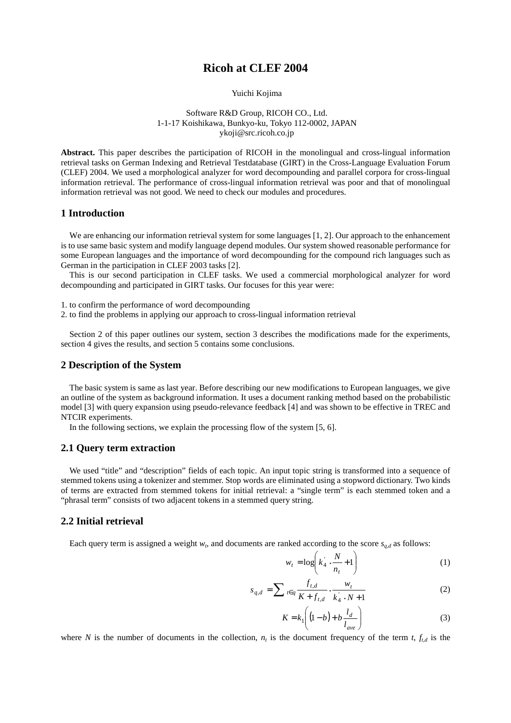# **Ricoh at CLEF 2004**

Yuichi Kojima

### Software R&D Group, RICOH CO., Ltd. 1-1-17 Koishikawa, Bunkyo-ku, Tokyo 112-0002, JAPAN ykoji@src.ricoh.co.jp

**Abstract.** This paper describes the participation of RICOH in the monolingual and cross-lingual information retrieval tasks on German Indexing and Retrieval Testdatabase (GIRT) in the Cross-Language Evaluation Forum (CLEF) 2004. We used a morphological analyzer for word decompounding and parallel corpora for cross-lingual information retrieval. The performance of cross-lingual information retrieval was poor and that of monolingual information retrieval was not good. We need to check our modules and procedures.

## **1 Introduction**

We are enhancing our information retrieval system for some languages [1, 2]. Our approach to the enhancement is to use same basic system and modify language depend modules. Our system showed reasonable performance for some European languages and the importance of word decompounding for the compound rich languages such as German in the participation in CLEF 2003 tasks [2].

This is our second participation in CLEF tasks. We used a commercial morphological analyzer for word decompounding and participated in GIRT tasks. Our focuses for this year were:

1. to confirm the performance of word decompounding

2. to find the problems in applying our approach to cross-lingual information retrieval

Section 2 of this paper outlines our system, section 3 describes the modifications made for the experiments, section 4 gives the results, and section 5 contains some conclusions.

## **2 Description of the System**

The basic system is same as last year. Before describing our new modifications to European languages, we give an outline of the system as background information. It uses a document ranking method based on the probabilistic model [3] with query expansion using pseudo-relevance feedback [4] and was shown to be effective in TREC and NTCIR experiments.

In the following sections, we explain the processing flow of the system [5, 6].

## **2.1 Query term extraction**

We used "title" and "description" fields of each topic. An input topic string is transformed into a sequence of stemmed tokens using a tokenizer and stemmer. Stop words are eliminated using a stopword dictionary. Two kinds of terms are extracted from stemmed tokens for initial retrieval: a "single term" is each stemmed token and a "phrasal term" consists of two adjacent tokens in a stemmed query string.

## **2.2 Initial retrieval**

Each query term is assigned a weight  $w_t$ , and documents are ranked according to the score  $s_{a,d}$  as follows:

$$
w_t = \log\left(k_4 \cdot \frac{N}{n_t} + 1\right) \tag{1}
$$

$$
s_{q,d} = \sum_{t \in q} \frac{f_{t,d}}{K + f_{t,d}} \cdot \frac{w_t}{k_4 \cdot N + 1}
$$
 (2)

$$
K = k_1 \left( (1 - b) + b \frac{l_d}{l_{ave}} \right) \tag{3}
$$

where *N* is the number of documents in the collection,  $n_t$  is the document frequency of the term  $t$ ,  $f_{td}$  is the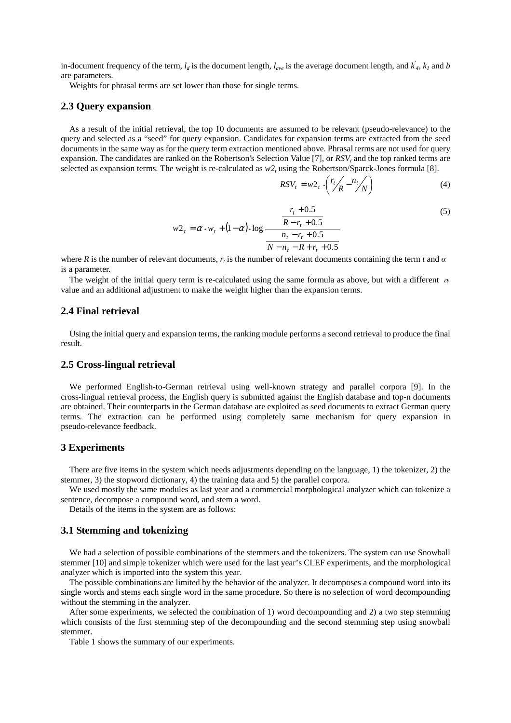in-document frequency of the term,  $l_d$  is the document length,  $l_{ave}$  is the average document length, and  $k'_{4}$ ,  $k_l$  and  $b$ are parameters.

Weights for phrasal terms are set lower than those for single terms.

#### **2.3 Query expansion**

As a result of the initial retrieval, the top 10 documents are assumed to be relevant (pseudo-relevance) to the query and selected as a "seed" for query expansion. Candidates for expansion terms are extracted from the seed documents in the same way as for the query term extraction mentioned above. Phrasal terms are not used for query expansion. The candidates are ranked on the Robertson's Selection Value [7], or *RSV*, and the top ranked terms are selected as expansion terms. The weight is re-calculated as  $w_1$  using the Robertson/Sparck-Jones formula [8].

$$
RSV_t = w_1 \cdot \left(\frac{r_t}{R} - \frac{n_t}{N}\right) \tag{4}
$$

$$
w2_{t} = \alpha \cdot w_{t} + (1 - \alpha) \cdot \log \frac{\frac{r_{t} + 0.5}{R - r_{t} + 0.5}}{\frac{n_{t} - r_{t} + 0.5}{N - n_{t} - R + r_{t} + 0.5}}
$$
(5)

where *R* is the number of relevant documents,  $r<sub>i</sub>$  is the number of relevant documents containing the term *t* and  $\alpha$ is a parameter.

The weight of the initial query term is re-calculated using the same formula as above, but with a different  $\alpha$ value and an additional adjustment to make the weight higher than the expansion terms.

## **2.4 Final retrieval**

Using the initial query and expansion terms, the ranking module performs a second retrieval to produce the final result.

# **2.5 Cross-lingual retrieval**

We performed English-to-German retrieval using well-known strategy and parallel corpora [9]. In the cross-lingual retrieval process, the English query is submitted against the English database and top-n documents are obtained. Their counterparts in the German database are exploited as seed documents to extract German query terms. The extraction can be performed using completely same mechanism for query expansion in pseudo-relevance feedback.

## **3 Experiments**

There are five items in the system which needs adjustments depending on the language, 1) the tokenizer, 2) the stemmer, 3) the stopword dictionary, 4) the training data and 5) the parallel corpora.

We used mostly the same modules as last year and a commercial morphological analyzer which can tokenize a sentence, decompose a compound word, and stem a word.

Details of the items in the system are as follows:

# **3.1 Stemming and tokenizing**

We had a selection of possible combinations of the stemmers and the tokenizers. The system can use Snowball stemmer [10] and simple tokenizer which were used for the last year's CLEF experiments, and the morphological analyzer which is imported into the system this year.

The possible combinations are limited by the behavior of the analyzer. It decomposes a compound word into its single words and stems each single word in the same procedure. So there is no selection of word decompounding without the stemming in the analyzer.

After some experiments, we selected the combination of 1) word decompounding and 2) a two step stemming which consists of the first stemming step of the decompounding and the second stemming step using snowball stemmer.

Table 1 shows the summary of our experiments.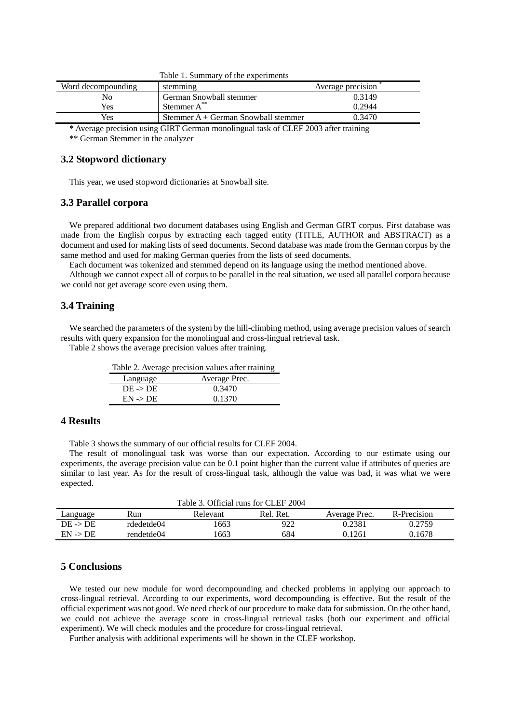| Table 1. Building v of the experiments |                                       |                   |  |  |  |  |
|----------------------------------------|---------------------------------------|-------------------|--|--|--|--|
| Word decompounding                     | stemming                              | Average precision |  |  |  |  |
| Nο                                     | German Snowball stemmer               | 0.3149            |  |  |  |  |
| Yes                                    | Stemmer A <sup>-</sup>                | 0.2944            |  |  |  |  |
| Yes                                    | Stemmer $A + German$ Snowball stemmer | 0.3470            |  |  |  |  |
|                                        |                                       |                   |  |  |  |  |

Table 1. Summary of the experiments

\* Average precision using GIRT German monolingual task of CLEF 2003 after training

\*\* German Stemmer in the analyzer

## **3.2 Stopword dictionary**

This year, we used stopword dictionaries at Snowball site.

## **3.3 Parallel corpora**

We prepared additional two document databases using English and German GIRT corpus. First database was made from the English corpus by extracting each tagged entity (TITLE, AUTHOR and ABSTRACT) as a document and used for making lists of seed documents. Second database was made from the German corpus by the same method and used for making German queries from the lists of seed documents.

Each document was tokenized and stemmed depend on its language using the method mentioned above.

Although we cannot expect all of corpus to be parallel in the real situation, we used all parallel corpora because we could not get average score even using them.

### **3.4 Training**

We searched the parameters of the system by the hill-climbing method, using average precision values of search results with query expansion for the monolingual and cross-lingual retrieval task.

Table 2 shows the average precision values after training.

Table 2. Average precision values after training

| Language            | Average Prec. |
|---------------------|---------------|
| $DE \rightarrow DE$ | 0.3470        |
| $EN \rightarrow DE$ | 0.1370        |

# **4 Results**

Table 3 shows the summary of our official results for CLEF 2004.

The result of monolingual task was worse than our expectation. According to our estimate using our experiments, the average precision value can be 0.1 point higher than the current value if attributes of queries are similar to last year. As for the result of cross-lingual task, although the value was bad, it was what we were expected.

Table 3. Official runs for CLEF 2004

|                     |            | 1 avre 5. OIIIviai iain IVI CEEI 200 T |           |               |             |
|---------------------|------------|----------------------------------------|-----------|---------------|-------------|
| Language            | ₹un        | Relevant                               | Rel. Ret. | Average Prec. | R-Precision |
| $DE \rightarrow DE$ | rdedetde04 | '663                                   | 922       | 0.2381        | 0.2759      |
| $EN \rightarrow DE$ | rendetde04 | 663                                    | 684       | 0.1261        | 0.1678      |

#### **5 Conclusions**

We tested our new module for word decompounding and checked problems in applying our approach to cross-lingual retrieval. According to our experiments, word decompounding is effective. But the result of the official experiment was not good. We need check of our procedure to make data for submission. On the other hand, we could not achieve the average score in cross-lingual retrieval tasks (both our experiment and official experiment). We will check modules and the procedure for cross-lingual retrieval.

Further analysis with additional experiments will be shown in the CLEF workshop.